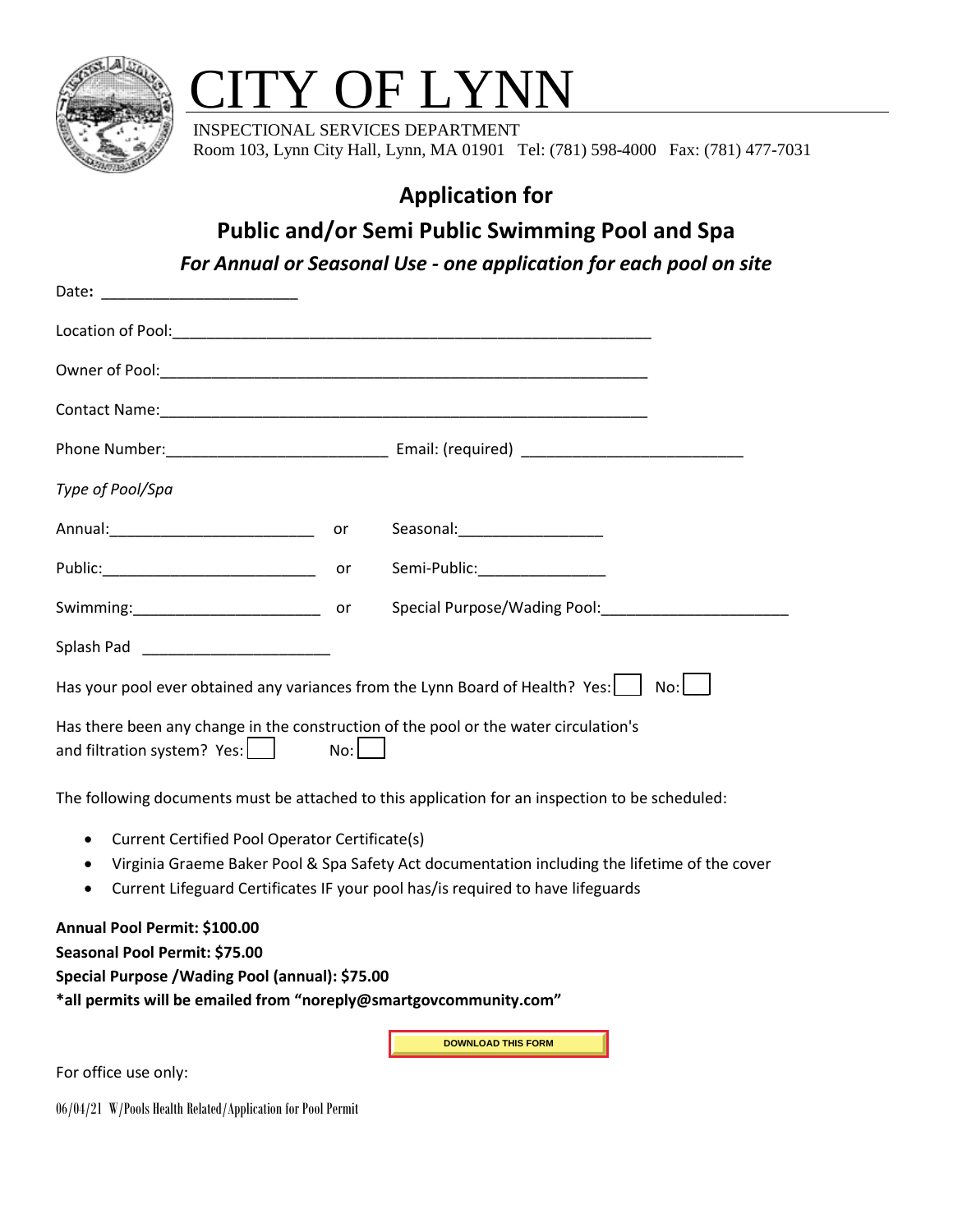

## TY OF LYNN

 INSPECTIONAL SERVICES DEPARTMENT Room 103, Lynn City Hall, Lynn, MA 01901 Tel: (781) 598-4000 Fax: (781) 477-7031

## **Application for**

## **Public and/or Semi Public Swimming Pool and Spa**

*For Annual or Seasonal Use - one application for each pool on site*

| Type of Pool/Spa                                                                                                             |  |                                 |  |
|------------------------------------------------------------------------------------------------------------------------------|--|---------------------------------|--|
|                                                                                                                              |  | Seasonal: _____________________ |  |
|                                                                                                                              |  | Semi-Public:________________    |  |
|                                                                                                                              |  |                                 |  |
|                                                                                                                              |  |                                 |  |
| Has your pool ever obtained any variances from the Lynn Board of Health? Yes:<br>$No:$ $ $                                   |  |                                 |  |
| Has there been any change in the construction of the pool or the water circulation's<br>and filtration system? $Yes:$<br>No: |  |                                 |  |
| The following documents must be attached to this application for an inspection to be scheduled:                              |  |                                 |  |

- Current Certified Pool Operator Certificate(s)
- Virginia Graeme Baker Pool & Spa Safety Act documentation including the lifetime of the cover
- Current Lifeguard Certificates IF your pool has/is required to have lifeguards

**Annual Pool Permit: \$100.00** 

**Seasonal Pool Permit: \$75.00** 

**Special Purpose /Wading Pool (annual): \$75.00** 

**\*all permits will be emailed from "noreply@smartgovcommunity.com"**

**DOWNLOAD THIS FORM**

For office use only:

06/04/21 W/Pools Health Related/Application for Pool Permit